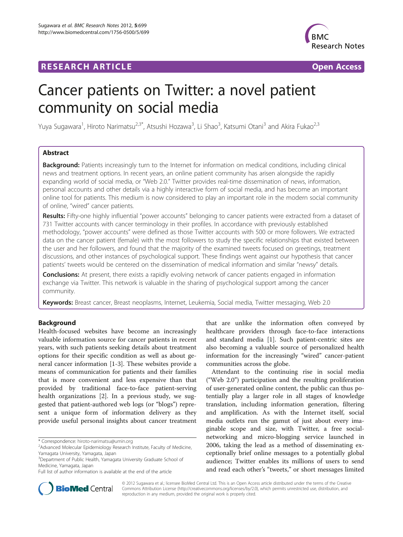# **RESEARCH ARTICLE Example 2014 CONSIDERING A RESEARCH ARTICLE**



# Cancer patients on Twitter: a novel patient community on social media

Yuya Sugawara<sup>1</sup>, Hiroto Narimatsu<sup>2,3\*</sup>, Atsushi Hozawa<sup>3</sup>, Li Shao<sup>3</sup>, Katsumi Otani<sup>3</sup> and Akira Fukao<sup>2,3</sup>

# Abstract

Background: Patients increasingly turn to the Internet for information on medical conditions, including clinical news and treatment options. In recent years, an online patient community has arisen alongside the rapidly expanding world of social media, or "Web 2.0." Twitter provides real-time dissemination of news, information, personal accounts and other details via a highly interactive form of social media, and has become an important online tool for patients. This medium is now considered to play an important role in the modern social community of online, "wired" cancer patients.

Results: Fifty-one highly influential "power accounts" belonging to cancer patients were extracted from a dataset of 731 Twitter accounts with cancer terminology in their profiles. In accordance with previously established methodology, "power accounts" were defined as those Twitter accounts with 500 or more followers. We extracted data on the cancer patient (female) with the most followers to study the specific relationships that existed between the user and her followers, and found that the majority of the examined tweets focused on greetings, treatment discussions, and other instances of psychological support. These findings went against our hypothesis that cancer patients' tweets would be centered on the dissemination of medical information and similar "newsy" details.

**Conclusions:** At present, there exists a rapidly evolving network of cancer patients engaged in information exchange via Twitter. This network is valuable in the sharing of psychological support among the cancer community.

Keywords: Breast cancer, Breast neoplasms, Internet, Leukemia, Social media, Twitter messaging, Web 2.0

# Background

Health-focused websites have become an increasingly valuable information source for cancer patients in recent years, with such patients seeking details about treatment options for their specific condition as well as about general cancer information [\[1](#page-8-0)-[3\]](#page-8-0). These websites provide a means of communication for patients and their families that is more convenient and less expensive than that provided by traditional face-to-face patient-serving health organizations [[2\]](#page-8-0). In a previous study, we suggested that patient-authored web logs (or "blogs") represent a unique form of information delivery as they provide useful personal insights about cancer treatment

\* Correspondence: [hiroto-narimatsu@umin.org](mailto:hiroto-narimatsu@umin.org) <sup>2</sup>

that are unlike the information often conveyed by healthcare providers through face-to-face interactions and standard media [\[1](#page-8-0)]. Such patient-centric sites are also becoming a valuable source of personalized health information for the increasingly "wired" cancer-patient communities across the globe.

Attendant to the continuing rise in social media ("Web 2.0") participation and the resulting proliferation of user-generated online content, the public can thus potentially play a larger role in all stages of knowledge translation, including information generation, filtering and amplification. As with the Internet itself, social media outlets run the gamut of just about every imaginable scope and size, with Twitter, a free socialnetworking and micro-blogging service launched in 2006, taking the lead as a method of disseminating exceptionally brief online messages to a potentially global audience; Twitter enables its millions of users to send and read each other's "tweets," or short messages limited



© 2012 Sugawara et al.; licensee BioMed Central Ltd. This is an Open Access article distributed under the terms of the Creative Commons Attribution License [\(http://creativecommons.org/licenses/by/2.0\)](http://creativecommons.org/licenses/by/2.0), which permits unrestricted use, distribution, and reproduction in any medium, provided the original work is properly cited.

<sup>&</sup>lt;sup>2</sup>Advanced Molecular Epidemiology Research Institute, Faculty of Medicine, Yamagata University, Yamagata, Japan

<sup>&</sup>lt;sup>3</sup>Department of Public Health, Yamagata University Graduate School of Medicine, Yamagata, Japan

Full list of author information is available at the end of the article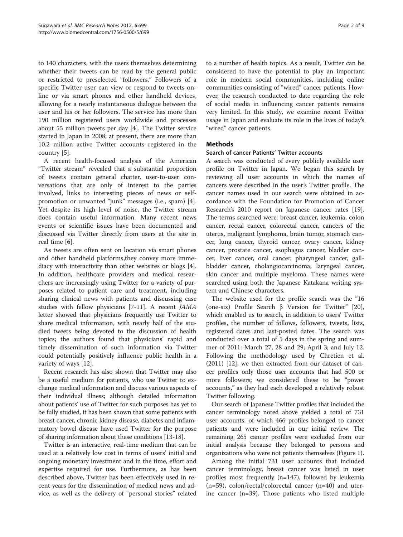to 140 characters, with the users themselves determining whether their tweets can be read by the general public or restricted to preselected "followers." Followers of a specific Twitter user can view or respond to tweets online or via smart phones and other handheld devices, allowing for a nearly instantaneous dialogue between the user and his or her followers. The service has more than 190 million registered users worldwide and processes about 55 million tweets per day [[4\]](#page-8-0). The Twitter service started in Japan in 2008; at present, there are more than 10.2 million active Twitter accounts registered in the country [\[5](#page-8-0)].

A recent health-focused analysis of the American "Twitter stream" revealed that a substantial proportion of tweets contain general chatter, user-to-user conversations that are only of interest to the parties involved, links to interesting pieces of news or selfpromotion or unwanted "junk" messages (i.e., spam) [\[4](#page-8-0)]. Yet despite its high level of noise, the Twitter stream does contain useful information. Many recent news events or scientific issues have been documented and discussed via Twitter directly from users at the site in real time [\[6\]](#page-8-0).

As tweets are often sent on location via smart phones and other handheld platforms,they convey more immediacy with interactivity than other websites or blogs [\[4](#page-8-0)]. In addition, healthcare providers and medical researchers are increasingly using Twitter for a variety of purposes related to patient care and treatment, including sharing clinical news with patients and discussing case studies with fellow physicians [\[7](#page-8-0)-[11](#page-8-0)]. A recent JAMA letter showed that physicians frequently use Twitter to share medical information, with nearly half of the studied tweets being devoted to the discussion of health topics; the authors found that physicians' rapid and timely dissemination of such information via Twitter could potentially positively influence public health in a variety of ways [\[12\]](#page-8-0).

Recent research has also shown that Twitter may also be a useful medium for patients, who use Twitter to exchange medical information and discuss various aspects of their individual illness; although detailed information about patients' use of Twitter for such purposes has yet to be fully studied, it has been shown that some patients with breast cancer, chronic kidney disease, diabetes and inflammatory bowel disease have used Twitter for the purpose of sharing information about these conditions [\[13](#page-8-0)-[18](#page-8-0)].

Twitter is an interactive, real-time medium that can be used at a relatively low cost in terms of users' initial and ongoing monetary investment and in the time, effort and expertise required for use. Furthermore, as has been described above, Twitter has been effectively used in recent years for the dissemination of medical news and advice, as well as the delivery of "personal stories" related

to a number of health topics. As a result, Twitter can be considered to have the potential to play an important role in modern social communities, including online communities consisting of "wired" cancer patients. However, the research conducted to date regarding the role of social media in influencing cancer patients remains very limited. In this study, we examine recent Twitter usage in Japan and evaluate its role in the lives of today's "wired" cancer patients.

# **Methods**

# Search of cancer Patients' Twitter accounts

A search was conducted of every publicly available user profile on Twitter in Japan. We began this search by reviewing all user accounts in which the names of cancers were described in the user's Twitter profile. The cancer names used in our search were obtained in accordance with the Foundation for Promotion of Cancer Research's 2010 report on Japanese cancer rates [\[19](#page-8-0)]. The terms searched were: breast cancer, leukemia, colon cancer, rectal cancer, colorectal cancer, cancers of the uterus, malignant lymphoma, brain tumor, stomach cancer, lung cancer, thyroid cancer, ovary cancer, kidney cancer, prostate cancer, esophagus cancer, bladder cancer, liver cancer, oral cancer, pharyngeal cancer, gallbladder cancer, cholangiocarcinoma, laryngeal cancer, skin cancer and multiple myeloma. These names were searched using both the Japanese Katakana writing system and Chinese characters.

The website used for the profile search was the "16 (one-six) Profile Search β Version for Twitter" [\[20](#page-8-0)], which enabled us to search, in addition to users' Twitter profiles, the number of follows, followers, tweets, lists, registered dates and last-posted dates. The search was conducted over a total of 5 days in the spring and summer of 2011: March 27, 28 and 29; April 3; and July 12. Following the methodology used by Chretien et al. (2011) [[12](#page-8-0)], we then extracted from our dataset of cancer profiles only those user accounts that had 500 or more followers; we considered these to be "power accounts," as they had each developed a relatively robust Twitter following.

Our search of Japanese Twitter profiles that included the cancer terminology noted above yielded a total of 731 user accounts, of which 466 profiles belonged to cancer patients and were included in our initial review. The remaining 265 cancer profiles were excluded from our initial analysis because they belonged to persons and organizations who were not patients themselves (Figure [1\)](#page-2-0).

Among the initial 731 user accounts that included cancer terminology, breast cancer was listed in user profiles most frequently (n=147), followed by leukemia (n=59), colon/rectal/colorectal cancer (n=40) and uterine cancer (n=39). Those patients who listed multiple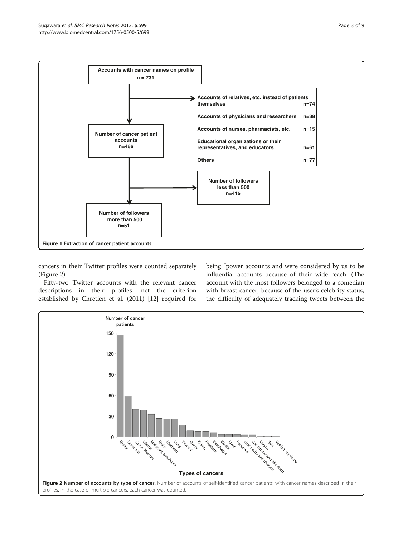<span id="page-2-0"></span>

cancers in their Twitter profiles were counted separately (Figure 2).

Fifty-two Twitter accounts with the relevant cancer descriptions in their profiles met the criterion established by Chretien et al. (2011) [[12](#page-8-0)] required for

being "power accounts and were considered by us to be influential accounts because of their wide reach. (The account with the most followers belonged to a comedian with breast cancer; because of the user's celebrity status, the difficulty of adequately tracking tweets between the

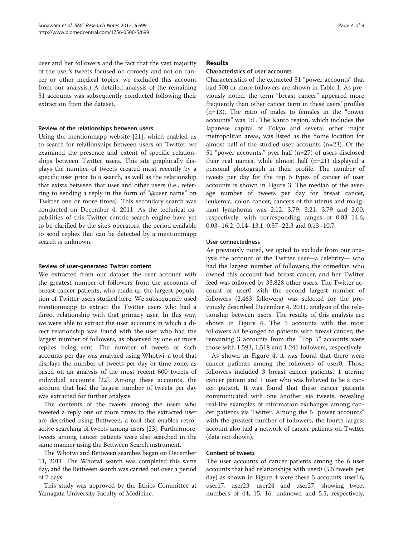user and her followers and the fact that the vast majority of the user's tweets focused on comedy and not on cancer or other medical topics, we excluded this account from our analysis.) A detailed analysis of the remaining 51 accounts was subsequently conducted following their extraction from the dataset.

#### Review of the relationships between users

Using the mentionmapp website [[21\]](#page-8-0), which enabled us to search for relationships between users on Twitter, we examined the presence and extent of specific relationships between Twitter users. This site graphically displays the number of tweets created most recently by a specific user prior to a search, as well as the relationship that exists between that user and other users (i.e., referring to sending a reply in the form of "@user name" on Twitter one or more times). This secondary search was conducted on December 4, 2011. As the technical capabilities of this Twitter-centric search engine have yet to be clarified by the site's operators, the period available to send replies that can be detected by a mentionmapp search is unknown.

#### Review of user-generated Twitter content

We extracted from our dataset the user account with the greatest number of followers from the accounts of breast cancer patients, who made up the largest population of Twitter users studied here. We subsequently used mentionmapp to extract the Twitter users who had a direct relationship with that primary user. In this way, we were able to extract the user accounts in which a direct relationship was found with the user who had the largest number of followers, as observed by one or more replies being sent. The number of tweets of such accounts per day was analyzed using Whotwi, a tool that displays the number of tweets per day or time zone, as based on an analysis of the most recent 600 tweets of individual accounts [\[22](#page-8-0)]. Among these accounts, the account that had the largest number of tweets per day was extracted for further analysis.

The contents of the tweets among the users who tweeted a reply one or more times to the extracted user are described using Bettween, a tool that enables retroactive searching of tweets among users [[23](#page-8-0)]. Furthermore, tweets among cancer patients were also searched in the same manner using the Bettween Search instrument.

The Whotwi and Bettween searches began on December 11, 2011. The Whotwi search was completed this same day, and the Bettween search was carried out over a period of 7 days.

This study was approved by the Ethics Committee at Yamagata University Faculty of Medicine.

## Results

# Characteristics of user accounts

Characteristics of the extracted 51 "power accounts" that had 500 or more followers are shown in Table [1.](#page-4-0) As previously noted, the term "breast cancer" appeared more frequently than other cancer term in these users' profiles (n=13). The ratio of males to females in the "power accounts" was 1:1. The Kanto region, which includes the Japanese capital of Tokyo and several other major metropolitan areas, was listed as the home location for almost half of the studied user accounts (n=23). Of the 51 "power accounts," over half (n=27) of users disclosed their real names, while almost half (n=21) displayed a personal photograph in their profile. The number of tweets per day for the top 5 types of cancer of user accounts is shown in Figure [3.](#page-5-0) The median of the average number of tweets per day for breast cancer, leukemia, colon cancer, cancers of the uterus and malignant lymphoma was 2.12, 3.79, 3.21, 3.79 and 2.00, respectively, with corresponding ranges of 0.03–14.6, 0.03–16.2, 0.14–13.1, 0.57–22.3 and 0.13–10.7.

#### User connectedness

As previously noted, we opted to exclude from our analysis the account of the Twitter user—a celebrity— who had the largest number of followers; the comedian who owned this account had breast cancer, and her Twitter feed was followed by 33,828 other users. The Twitter account of user0 with the second largest number of followers (2,463 followers) was selected for the previously described December 4, 2011, analysis of the relationship between users. The results of this analysis are shown in Figure [4](#page-5-0). The 5 accounts with the most followers all belonged to patients with breast cancer; the remaining 3 accounts from the "Top 5" accounts were those with 1,593, 1,518 and 1,241 followers, respectively.

As shown in Figure [4](#page-5-0), it was found that there were cancer patients among the followers of user0. Those followers included 3 breast cancer patients, 1 uterine cancer patient and 1 user who was believed to be a cancer patient. It was found that these cancer patients communicated with one another via tweets, revealing real-life examples of information exchanges among cancer patients via Twitter. Among the 5 "power accounts" with the greatest number of followers, the fourth-largest account also had a network of cancer patients on Twitter (data not shown).

# Content of tweets

The user accounts of cancer patients among the 6 user accounts that had relationships with user0 (5.5 tweets per day) as shown in Figure [4](#page-5-0) were these 5 accounts: user16, user17, user23, user24 and user27, showing tweet numbers of 44, 15, 16, unknown and 5.5, respectively,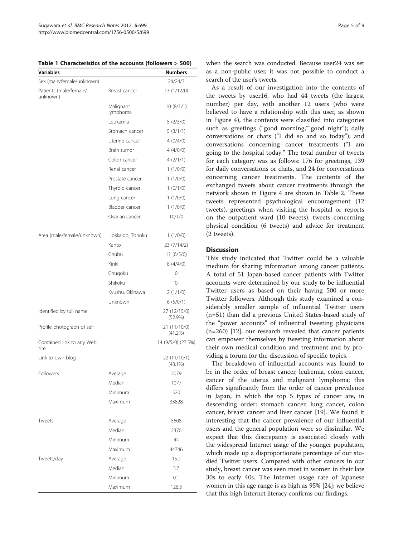<span id="page-4-0"></span>Table 1 Characteristics of the accounts (followers > 500)

| <b>Variables</b>                   |                       | <b>Numbers</b>             |
|------------------------------------|-----------------------|----------------------------|
| Sex (male/female/unknown)          |                       | 24/24/3                    |
| Patients (male/female/<br>unknown) | Breast cancer         | 13 (1/12/0)                |
|                                    | Malignant<br>lymphoma | 10(8/1/1)                  |
|                                    | Leukemia              | 5(2/3/0)                   |
|                                    | Stomach cancer        | 5(3/1/1)                   |
|                                    | Uterine cancer        | 4(0/4/0)                   |
|                                    | Brain tumor           | 4(4/0/0)                   |
|                                    | Colon cancer          | 4(2/1/1)                   |
|                                    | Renal cancer          | 1(1/0/0)                   |
|                                    | Prostate cancer       | 1(1/0/0)                   |
|                                    | Thyroid cancer        | 1(0/1/0)                   |
|                                    | Lung cancer           | 1(1/0/0)                   |
|                                    | Bladder cancer        | 1(1/0/0)                   |
|                                    | Ovarian cancer        | 10/1/0                     |
| Area (male/female/unknown)         | Hokkaido, Tohoku      | 1(1/0/0)                   |
|                                    | Kanto                 | 23 (7/14/2)                |
|                                    | Chubu                 | 11(6/5/0)                  |
|                                    | Kinki                 | 8(4/4/0)                   |
|                                    | Chugoku               | 0                          |
|                                    | Shikoku               | 0                          |
|                                    | Kyushu, Okinawa       | 2(1/1/0)                   |
|                                    | Unknown               | 6(5/0/1)                   |
| Identified by full name            |                       | 27 (12/15/0)<br>(52.9%)    |
| Profile photograph of self         |                       | 21 (11/10/0)<br>(41.2%)    |
| Contained link to any Web<br>site  |                       | 14 (9/5/0) (27.5%)         |
| Link to own blog                   |                       | 22 (11/10/1)<br>$(43.1\%)$ |
| Followers                          | Average               | 2079                       |
|                                    | Median                | 1077                       |
|                                    | Minimum               | 520                        |
|                                    | Maximum               | 33828                      |
| Tweets                             | Average               | 5608                       |
|                                    | Median                | 2370                       |
|                                    | Minimum               | 44                         |
|                                    | Maximum               | 44746                      |
| Tweets/day                         | Average               | 15.2                       |
|                                    | Median                | 5.7                        |
|                                    | Minimum               | 0.1                        |
|                                    | Maximum               | 126.3                      |

when the search was conducted. Because user24 was set as a non-public user, it was not possible to conduct a search of the user's tweets.

As a result of our investigation into the contents of the tweets by user16, who had 44 tweets (the largest number) per day, with another 12 users (who were believed to have a relationship with this user, as shown in Figure [4\)](#page-5-0), the contents were classified into categories such as greetings ("good morning,""good night"); daily conversations or chats ("I did so and so today"); and conversations concerning cancer treatments ("I am going to the hospital today." The total number of tweets for each category was as follows: 176 for greetings, 139 for daily conversations or chats, and 24 for conversations concerning cancer treatments. The contents of the exchanged tweets about cancer treatments through the network shown in Figure [4](#page-5-0) are shown in Table [2.](#page-6-0) These tweets represented psychological encouragement (12 tweets), greetings when visiting the hospital or reports on the outpatient ward (10 tweets), tweets concerning physical condition (6 tweets) and advice for treatment (2 tweets).

### **Discussion**

This study indicated that Twitter could be a valuable medium for sharing information among cancer patients. A total of 51 Japan-based cancer patients with Twitter accounts were determined by our study to be influential Twitter users as based on their having 500 or more Twitter followers. Although this study examined a considerably smaller sample of influential Twitter users (n=51) than did a previous United States-based study of the "power accounts" of influential tweeting physicians (n=260) [[12\]](#page-8-0), our research revealed that cancer patients can empower themselves by tweeting information about their own medical condition and treatment and by providing a forum for the discussion of specific topics.

The breakdown of influential accounts was found to be in the order of breast cancer, leukemia, colon cancer, cancer of the uterus and malignant lymphoma; this differs significantly from the order of cancer prevalence in Japan, in which the top 5 types of cancer are, in descending order: stomach cancer, lung cancer, colon cancer, breast cancer and liver cancer [[19](#page-8-0)]. We found it interesting that the cancer prevalence of our influential users and the general population were so dissimilar. We expect that this discrepancy is associated closely with the widespread Internet usage of the younger population, which made up a disproportionate percentage of our studied Twitter users. Compared with other cancers in our study, breast cancer was seen most in women in their late 30s to early 40s. The Internet usage rate of Japanese women in this age range is as high as 95% [[24](#page-8-0)]; we believe that this high Internet literacy confirms our findings.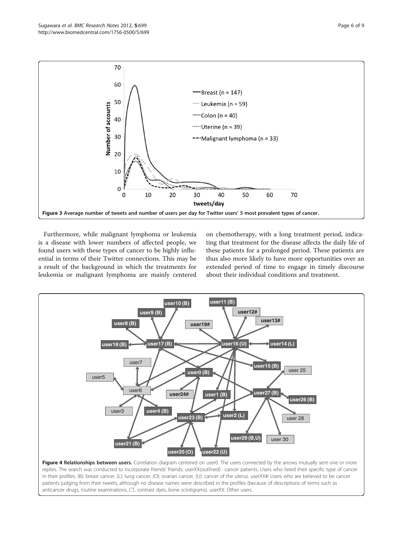<span id="page-5-0"></span>

Furthermore, while malignant lymphoma or leukemia is a disease with lower numbers of affected people, we found users with these types of cancer to be highly influential in terms of their Twitter connections. This may be a result of the background in which the treatments for leukemia or malignant lymphoma are mainly centered on chemotherapy, with a long treatment period, indicating that treatment for the disease affects the daily life of these patients for a prolonged period. These patients are thus also more likely to have more opportunities over an extended period of time to engage in timely discourse about their individual conditions and treatment.



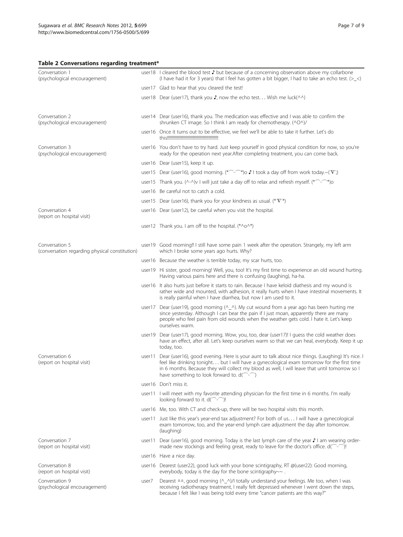#### <span id="page-6-0"></span>Table 2 Conversations regarding treatment\*

| rapic 2 Conversations regarding treatment                        |        |                                                                                                                                                                                                                                                                                                                                                                            |
|------------------------------------------------------------------|--------|----------------------------------------------------------------------------------------------------------------------------------------------------------------------------------------------------------------------------------------------------------------------------------------------------------------------------------------------------------------------------|
| Conversation 1<br>(psychological encouragement)                  |        | user 18 I cleared the blood test $\int$ but because of a concerning observation above my collarbone<br>(I have had it for 3 years) that I feel has gotten a bit bigger, I had to take an echo test. $(z_-\langle$ )                                                                                                                                                        |
|                                                                  |        | user17 Glad to hear that you cleared the test!                                                                                                                                                                                                                                                                                                                             |
|                                                                  |        | user18 Dear (user17), thank you $\Gamma$ , now the echo test Wish me luck( $\wedge \wedge$ )                                                                                                                                                                                                                                                                               |
| Conversation 2<br>(psychological encouragement)                  |        | user14 Dear (user16), thank you. The medication was effective and I was able to confirm the<br>shrunken CT image. So I think I am ready for chemotherapy. (^O^)/                                                                                                                                                                                                           |
|                                                                  |        | user16 Once it turns out to be effective, we feel we'll be able to take it further. Let's do                                                                                                                                                                                                                                                                               |
| Conversation 3<br>(psychological encouragement)                  |        | user16 You don't have to try hard. Just keep yourself in good physical condition for now, so you're<br>ready for the operation next year. After completing treatment, you can come back.                                                                                                                                                                                   |
|                                                                  |        | user16 Dear (user15), keep it up.                                                                                                                                                                                                                                                                                                                                          |
|                                                                  |        | user15 Dear (user16), good morning. (*^-^*)o $\int$ I took a day off from work today.~( $\nabla$ ;)                                                                                                                                                                                                                                                                        |
|                                                                  |        | user15 Thank you. (^-^)v I will just take a day off to relax and refresh myself. (*^-^*)o                                                                                                                                                                                                                                                                                  |
|                                                                  |        | user16 Be careful not to catch a cold.                                                                                                                                                                                                                                                                                                                                     |
|                                                                  |        | user15 Dear (user16), thank you for your kindness as usual. (* $\nabla$ *)                                                                                                                                                                                                                                                                                                 |
| Conversation 4<br>(report on hospital visit)                     |        | user16 Dear (user12), be careful when you visit the hospital.                                                                                                                                                                                                                                                                                                              |
|                                                                  |        | user12 Thank you. I am off to the hospital. (*^o^*)                                                                                                                                                                                                                                                                                                                        |
| Conversation 5<br>(conversation regarding physical constitution) |        | user19 Good morning!! I still have some pain 1 week after the operation. Strangely, my left arm<br>which I broke some years ago hurts. Why?                                                                                                                                                                                                                                |
|                                                                  |        | user16 Because the weather is terrible today, my scar hurts, too.                                                                                                                                                                                                                                                                                                          |
|                                                                  |        | user19 Hi sister, good morning! Well, you, too! It's my first time to experience an old wound hurting.<br>Having various pains here and there is confusing (laughing), ha-ha.                                                                                                                                                                                              |
|                                                                  |        | user16 It also hurts just before it starts to rain. Because I have keloid diathesis and my wound is<br>rather wide and mounted, with adhesion, it really hurts when I have intestinal movements. It<br>is really painful when I have diarrhea, but now I am used to it.                                                                                                    |
|                                                                  |        | user17 Dear (user19), good morning $(\wedge \_ \wedge)$ . My cut wound from a year ago has been hurting me<br>since yesterday. Although I can bear the pain if I just moan, apparently there are many<br>people who feel pain from old wounds when the weather gets cold. I hate it. Let's keep<br>ourselves warm.                                                         |
|                                                                  |        | user19 Dear (user17), good morning. Wow, you, too, dear (user17)! I guess the cold weather does<br>have an effect, after all. Let's keep ourselves warm so that we can heal, everybody. Keep it up<br>today, too.                                                                                                                                                          |
| Conversation 6<br>(report on hospital visit)                     |        | user11 Dear (user16), good evening. Here is your aunt to talk about nice things. (Laughing) It's nice. I<br>feel like drinking tonight but I will have a gynecological exam tomorrow for the first time<br>in 6 months. Because they will collect my blood as well, I will leave that until tomorrow so I<br>have something to look forward to. $d(\widehat{\phantom{a}})$ |
|                                                                  |        | user16 Don't miss it.                                                                                                                                                                                                                                                                                                                                                      |
|                                                                  |        | user11 I will meet with my favorite attending physician for the first time in 6 months. I'm really<br>looking forward to it. d(^-^)!                                                                                                                                                                                                                                       |
|                                                                  |        | user16 Me, too. With CT and check-up, there will be two hospital visits this month.                                                                                                                                                                                                                                                                                        |
|                                                                  |        | user11 Just like this year's year-end tax adjustment? For both of us I will have a gynecological<br>exam tomorrow, too, and the year-end lymph care adjustment the day after tomorrow.<br>(laughing)                                                                                                                                                                       |
| Conversation 7<br>(report on hospital visit)                     | user11 | Dear (user16), good morning. Today is the last lymph care of the year $\int$ am wearing order-<br>made new stockings and feeling great, ready to leave for the doctor's office. $d(\widehat{\phantom{a}}\widehat{\phantom{a}}\widehat{\phantom{a}}\widehat{\phantom{a}}\widehat{\phantom{a}}\hspace{0.1cm})$                                                               |
|                                                                  |        | user16 Have a nice day.                                                                                                                                                                                                                                                                                                                                                    |
| Conversation 8<br>(report on hospital visit)                     |        | user16 Dearest (user22), good luck with your bone scintigraphy, RT @(user22): Good morning,<br>everybody, today is the day for the bone scintigraphy ~~ .                                                                                                                                                                                                                  |
| Conversation 9<br>(psychological encouragement)                  | user7  | Dearest $\Delta \Delta$ , good morning ( $\Delta \Delta$ )/I totally understand your feelings. Me too, when I was<br>receiving radiotherapy treatment, I really felt depressed whenever I went down the steps,<br>because I felt like I was being told every time "cancer patients are this way?"                                                                          |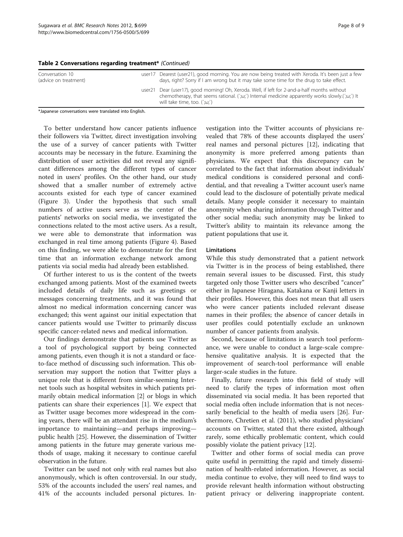| Conversation 10<br>(advice on treatment) | user17 Dearest (user21), good morning. You are now being treated with Xeroda. It's been just a few<br>days, right? Sorry if I am wrong but it may take some time for the drug to take effect.                                                        |
|------------------------------------------|------------------------------------------------------------------------------------------------------------------------------------------------------------------------------------------------------------------------------------------------------|
|                                          | user21 Dear (user17), good morning! Oh, Xeroda. Well, if left for 2-and-a-half months without<br>chemotherapy, that seems rational. $(',\omega;')$ Internal medicine apparently works slowly. $(',\omega;')$ It<br>will take time, too. $(',\omega)$ |

#### Table 2 Conversations regarding treatment\* (Continued)

\*Japanese conversations were translated into English.

To better understand how cancer patients influence their followers via Twitter, direct investigation involving the use of a survey of cancer patients with Twitter accounts may be necessary in the future. Examining the distribution of user activities did not reveal any significant differences among the different types of cancer noted in users' profiles. On the other hand, our study showed that a smaller number of extremely active accounts existed for each type of cancer examined (Figure [3\)](#page-5-0). Under the hypothesis that such small numbers of active users serve as the center of the patients' networks on social media, we investigated the connections related to the most active users. As a result, we were able to demonstrate that information was exchanged in real time among patients (Figure [4](#page-5-0)). Based on this finding, we were able to demonstrate for the first time that an information exchange network among patients via social media had already been established.

Of further interest to us is the content of the tweets exchanged among patients. Most of the examined tweets included details of daily life such as greetings or messages concerning treatments, and it was found that almost no medical information concerning cancer was exchanged; this went against our initial expectation that cancer patients would use Twitter to primarily discuss specific cancer-related news and medical information.

Our findings demonstrate that patients use Twitter as a tool of psychological support by being connected among patients, even though it is not a standard or faceto-face method of discussing such information. This observation may support the notion that Twitter plays a unique role that is different from similar-seeming Internet tools such as hospital websites in which patients primarily obtain medical information [[2\]](#page-8-0) or blogs in which patients can share their experiences [[1](#page-8-0)]. We expect that as Twitter usage becomes more widespread in the coming years, there will be an attendant rise in the medium's importance to maintaining—and perhaps improving public health [[25](#page-8-0)]. However, the dissemination of Twitter among patients in the future may generate various methods of usage, making it necessary to continue careful observation in the future.

Twitter can be used not only with real names but also anonymously, which is often controversial. In our study, 53% of the accounts included the users' real names, and 41% of the accounts included personal pictures. Investigation into the Twitter accounts of physicians revealed that 78% of these accounts displayed the users' real names and personal pictures [[12\]](#page-8-0), indicating that anonymity is more preferred among patients than physicians. We expect that this discrepancy can be correlated to the fact that information about individuals' medical conditions is considered personal and confidential, and that revealing a Twitter account user's name could lead to the disclosure of potentially private medical details. Many people consider it necessary to maintain anonymity when sharing information through Twitter and other social media; such anonymity may be linked to Twitter's ability to maintain its relevance among the patient populations that use it.

#### Limitations

While this study demonstrated that a patient network via Twitter is in the process of being established, there remain several issues to be discussed. First, this study targeted only those Twitter users who described "cancer" either in Japanese Hiragana, Katakana or Kanji letters in their profiles. However, this does not mean that all users who were cancer patients included relevant disease names in their profiles; the absence of cancer details in user profiles could potentially exclude an unknown number of cancer patients from analysis.

Second, because of limitations in search tool performance, we were unable to conduct a large-scale comprehensive qualitative analysis. It is expected that the improvement of search-tool performance will enable larger-scale studies in the future.

Finally, future research into this field of study will need to clarify the types of information most often disseminated via social media. It has been reported that social media often include information that is not necessarily beneficial to the health of media users [[26\]](#page-8-0). Furthermore, Chretien et al. (2011), who studied physicians' accounts on Twitter, stated that there existed, although rarely, some ethically problematic content, which could possibly violate the patient privacy [\[12\]](#page-8-0).

Twitter and other forms of social media can prove quite useful in permitting the rapid and timely dissemination of health-related information. However, as social media continue to evolve, they will need to find ways to provide relevant health information without obstructing patient privacy or delivering inappropriate content.